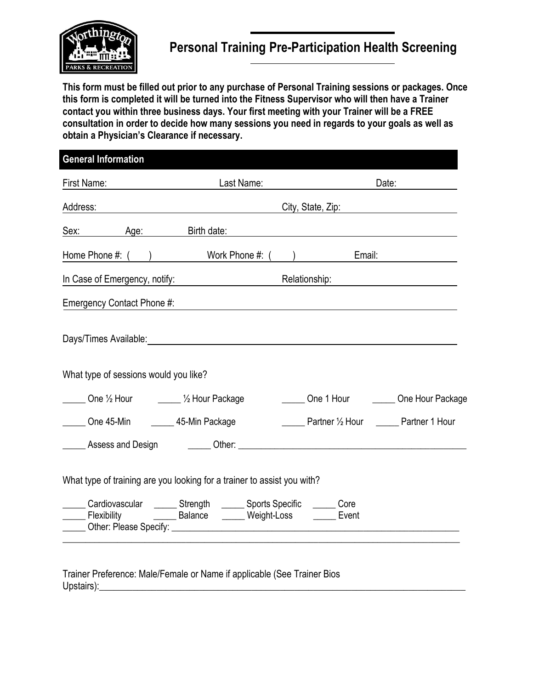

## **Personal Training Pre-Participation Health Screening**

**This form must be filled out prior to any purchase of Personal Training sessions or packages. Once this form is completed it will be turned into the Fitness Supervisor who will then have a Trainer contact you within three business days. Your first meeting with your Trainer will be a FREE consultation in order to decide how many sessions you need in regards to your goals as well as obtain a Physician's Clearance if necessary.** 

| Last Name: |                                                                                                         | Date:                                                                                                                                                                                                                                                                                                                                                                                                                                                                                                                                                                                                                                                           |  |
|------------|---------------------------------------------------------------------------------------------------------|-----------------------------------------------------------------------------------------------------------------------------------------------------------------------------------------------------------------------------------------------------------------------------------------------------------------------------------------------------------------------------------------------------------------------------------------------------------------------------------------------------------------------------------------------------------------------------------------------------------------------------------------------------------------|--|
|            |                                                                                                         | City, State, Zip: 2000                                                                                                                                                                                                                                                                                                                                                                                                                                                                                                                                                                                                                                          |  |
|            |                                                                                                         |                                                                                                                                                                                                                                                                                                                                                                                                                                                                                                                                                                                                                                                                 |  |
|            |                                                                                                         | Email:                                                                                                                                                                                                                                                                                                                                                                                                                                                                                                                                                                                                                                                          |  |
|            | Relationship:                                                                                           |                                                                                                                                                                                                                                                                                                                                                                                                                                                                                                                                                                                                                                                                 |  |
|            |                                                                                                         |                                                                                                                                                                                                                                                                                                                                                                                                                                                                                                                                                                                                                                                                 |  |
|            |                                                                                                         |                                                                                                                                                                                                                                                                                                                                                                                                                                                                                                                                                                                                                                                                 |  |
|            |                                                                                                         |                                                                                                                                                                                                                                                                                                                                                                                                                                                                                                                                                                                                                                                                 |  |
|            |                                                                                                         | One 1 Hour ________ One Hour Package                                                                                                                                                                                                                                                                                                                                                                                                                                                                                                                                                                                                                            |  |
|            |                                                                                                         | Partner 1/2 Hour Partner 1 Hour                                                                                                                                                                                                                                                                                                                                                                                                                                                                                                                                                                                                                                 |  |
|            |                                                                                                         |                                                                                                                                                                                                                                                                                                                                                                                                                                                                                                                                                                                                                                                                 |  |
|            |                                                                                                         |                                                                                                                                                                                                                                                                                                                                                                                                                                                                                                                                                                                                                                                                 |  |
|            |                                                                                                         |                                                                                                                                                                                                                                                                                                                                                                                                                                                                                                                                                                                                                                                                 |  |
|            | Address: Address:<br>Sex: Age:<br>What type of sessions would you like?<br>One 1/2 Hour 12 Hour Package | Birth date: <b>Example 2018</b><br>Home Phone #: ( ) Work Phone #: ( )<br>Days/Times Available: <u>contract and a series of the series of the series of the series of the series of the series of the series of the series of the series of the series of the series of the series of the series of the se</u><br>Assess and Design and Communication Communication Communication Communication Communication Communication Comm<br>What type of training are you looking for a trainer to assist you with?<br>Cardiovascular _______ Strength _______ Sports Specific _______ Core<br>Flexibility _______________ Balance _________ Weight-Loss ________ Event |  |

Trainer Preference: Male/Female or Name if applicable (See Trainer Bios Upstairs):\_\_\_\_\_\_\_\_\_\_\_\_\_\_\_\_\_\_\_\_\_\_\_\_\_\_\_\_\_\_\_\_\_\_\_\_\_\_\_\_\_\_\_\_\_\_\_\_\_\_\_\_\_\_\_\_\_\_\_\_\_\_\_\_\_\_\_\_\_\_\_\_\_\_\_\_\_